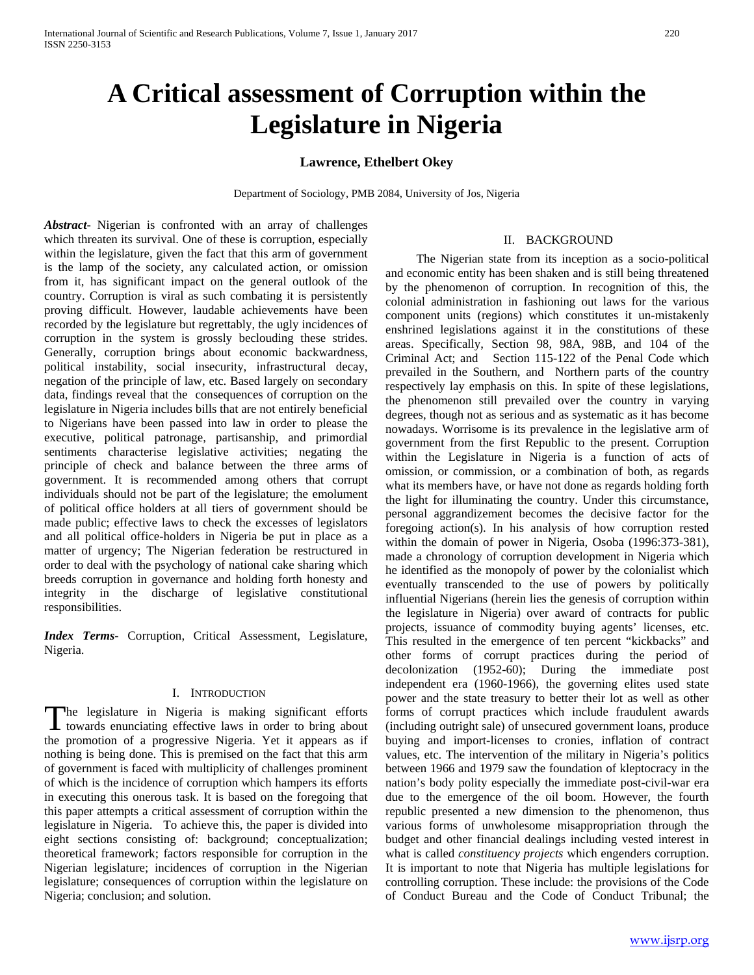# **A Critical assessment of Corruption within the Legislature in Nigeria**

# **Lawrence, Ethelbert Okey**

Department of Sociology, PMB 2084, University of Jos, Nigeria

*Abstract***-** Nigerian is confronted with an array of challenges which threaten its survival. One of these is corruption, especially within the legislature, given the fact that this arm of government is the lamp of the society, any calculated action, or omission from it, has significant impact on the general outlook of the country. Corruption is viral as such combating it is persistently proving difficult. However, laudable achievements have been recorded by the legislature but regrettably, the ugly incidences of corruption in the system is grossly beclouding these strides. Generally, corruption brings about economic backwardness, political instability, social insecurity, infrastructural decay, negation of the principle of law, etc. Based largely on secondary data, findings reveal that the consequences of corruption on the legislature in Nigeria includes bills that are not entirely beneficial to Nigerians have been passed into law in order to please the executive, political patronage, partisanship, and primordial sentiments characterise legislative activities; negating the principle of check and balance between the three arms of government. It is recommended among others that corrupt individuals should not be part of the legislature; the emolument of political office holders at all tiers of government should be made public; effective laws to check the excesses of legislators and all political office-holders in Nigeria be put in place as a matter of urgency; The Nigerian federation be restructured in order to deal with the psychology of national cake sharing which breeds corruption in governance and holding forth honesty and integrity in the discharge of legislative constitutional responsibilities.

*Index Terms*- Corruption, Critical Assessment, Legislature, Nigeria.

#### I. INTRODUCTION

he legislature in Nigeria is making significant efforts The legislature in Nigeria is making significant efforts<br>towards enunciating effective laws in order to bring about the promotion of a progressive Nigeria. Yet it appears as if nothing is being done. This is premised on the fact that this arm of government is faced with multiplicity of challenges prominent of which is the incidence of corruption which hampers its efforts in executing this onerous task. It is based on the foregoing that this paper attempts a critical assessment of corruption within the legislature in Nigeria. To achieve this, the paper is divided into eight sections consisting of: background; conceptualization; theoretical framework; factors responsible for corruption in the Nigerian legislature; incidences of corruption in the Nigerian legislature; consequences of corruption within the legislature on Nigeria; conclusion; and solution.

# II. BACKGROUND

 The Nigerian state from its inception as a socio-political and economic entity has been shaken and is still being threatened by the phenomenon of corruption. In recognition of this, the colonial administration in fashioning out laws for the various component units (regions) which constitutes it un-mistakenly enshrined legislations against it in the constitutions of these areas. Specifically, Section 98, 98A, 98B, and 104 of the Criminal Act; and Section 115-122 of the Penal Code which prevailed in the Southern, and Northern parts of the country respectively lay emphasis on this. In spite of these legislations, the phenomenon still prevailed over the country in varying degrees, though not as serious and as systematic as it has become nowadays. Worrisome is its prevalence in the legislative arm of government from the first Republic to the present. Corruption within the Legislature in Nigeria is a function of acts of omission, or commission, or a combination of both, as regards what its members have, or have not done as regards holding forth the light for illuminating the country. Under this circumstance, personal aggrandizement becomes the decisive factor for the foregoing action(s). In his analysis of how corruption rested within the domain of power in Nigeria, Osoba (1996:373-381), made a chronology of corruption development in Nigeria which he identified as the monopoly of power by the colonialist which eventually transcended to the use of powers by politically influential Nigerians (herein lies the genesis of corruption within the legislature in Nigeria) over award of contracts for public projects, issuance of commodity buying agents' licenses, etc. This resulted in the emergence of ten percent "kickbacks" and other forms of corrupt practices during the period of decolonization (1952-60); During the immediate post independent era (1960-1966), the governing elites used state power and the state treasury to better their lot as well as other forms of corrupt practices which include fraudulent awards (including outright sale) of unsecured government loans, produce buying and import-licenses to cronies, inflation of contract values, etc. The intervention of the military in Nigeria's politics between 1966 and 1979 saw the foundation of kleptocracy in the nation's body polity especially the immediate post-civil-war era due to the emergence of the oil boom. However, the fourth republic presented a new dimension to the phenomenon, thus various forms of unwholesome misappropriation through the budget and other financial dealings including vested interest in what is called *constituency projects* which engenders corruption. It is important to note that Nigeria has multiple legislations for controlling corruption. These include: the provisions of the Code of Conduct Bureau and the Code of Conduct Tribunal; the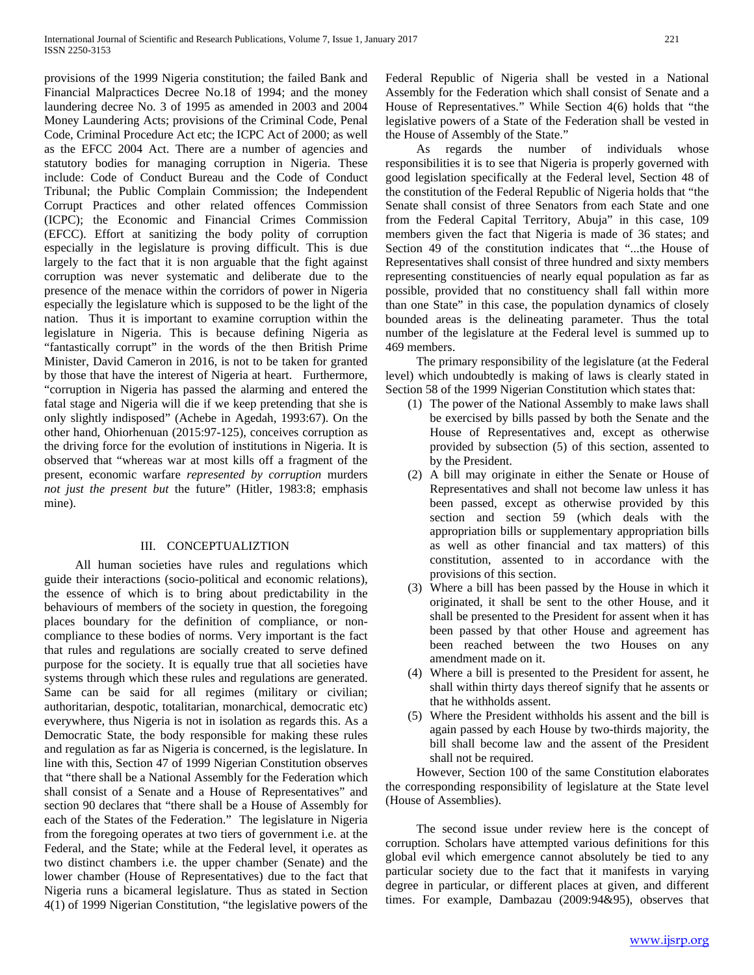provisions of the 1999 Nigeria constitution; the failed Bank and Financial Malpractices Decree No.18 of 1994; and the money laundering decree No. 3 of 1995 as amended in 2003 and 2004 Money Laundering Acts; provisions of the Criminal Code, Penal Code, Criminal Procedure Act etc; the ICPC Act of 2000; as well as the EFCC 2004 Act. There are a number of agencies and statutory bodies for managing corruption in Nigeria. These include: Code of Conduct Bureau and the Code of Conduct Tribunal; the Public Complain Commission; the Independent Corrupt Practices and other related offences Commission (ICPC); the Economic and Financial Crimes Commission (EFCC). Effort at sanitizing the body polity of corruption especially in the legislature is proving difficult. This is due largely to the fact that it is non arguable that the fight against corruption was never systematic and deliberate due to the presence of the menace within the corridors of power in Nigeria especially the legislature which is supposed to be the light of the nation. Thus it is important to examine corruption within the legislature in Nigeria. This is because defining Nigeria as "fantastically corrupt" in the words of the then British Prime Minister, David Cameron in 2016, is not to be taken for granted by those that have the interest of Nigeria at heart. Furthermore, "corruption in Nigeria has passed the alarming and entered the fatal stage and Nigeria will die if we keep pretending that she is only slightly indisposed" (Achebe in Agedah, 1993:67). On the other hand, Ohiorhenuan (2015:97-125), conceives corruption as the driving force for the evolution of institutions in Nigeria. It is observed that "whereas war at most kills off a fragment of the present, economic warfare *represented by corruption* murders *not just the present but* the future" (Hitler, 1983:8; emphasis mine).

# III. CONCEPTUALIZTION

 All human societies have rules and regulations which guide their interactions (socio-political and economic relations), the essence of which is to bring about predictability in the behaviours of members of the society in question, the foregoing places boundary for the definition of compliance, or noncompliance to these bodies of norms. Very important is the fact that rules and regulations are socially created to serve defined purpose for the society. It is equally true that all societies have systems through which these rules and regulations are generated. Same can be said for all regimes (military or civilian; authoritarian, despotic, totalitarian, monarchical, democratic etc) everywhere, thus Nigeria is not in isolation as regards this. As a Democratic State, the body responsible for making these rules and regulation as far as Nigeria is concerned, is the legislature. In line with this, Section 47 of 1999 Nigerian Constitution observes that "there shall be a National Assembly for the Federation which shall consist of a Senate and a House of Representatives" and section 90 declares that "there shall be a House of Assembly for each of the States of the Federation." The legislature in Nigeria from the foregoing operates at two tiers of government i.e. at the Federal, and the State; while at the Federal level, it operates as two distinct chambers i.e. the upper chamber (Senate) and the lower chamber (House of Representatives) due to the fact that Nigeria runs a bicameral legislature. Thus as stated in Section 4(1) of 1999 Nigerian Constitution, "the legislative powers of the Federal Republic of Nigeria shall be vested in a National Assembly for the Federation which shall consist of Senate and a House of Representatives." While Section 4(6) holds that "the legislative powers of a State of the Federation shall be vested in the House of Assembly of the State."

 As regards the number of individuals whose responsibilities it is to see that Nigeria is properly governed with good legislation specifically at the Federal level, Section 48 of the constitution of the Federal Republic of Nigeria holds that "the Senate shall consist of three Senators from each State and one from the Federal Capital Territory, Abuja" in this case, 109 members given the fact that Nigeria is made of 36 states; and Section 49 of the constitution indicates that "...the House of Representatives shall consist of three hundred and sixty members representing constituencies of nearly equal population as far as possible, provided that no constituency shall fall within more than one State" in this case, the population dynamics of closely bounded areas is the delineating parameter. Thus the total number of the legislature at the Federal level is summed up to 469 members.

 The primary responsibility of the legislature (at the Federal level) which undoubtedly is making of laws is clearly stated in Section 58 of the 1999 Nigerian Constitution which states that:

- (1) The power of the National Assembly to make laws shall be exercised by bills passed by both the Senate and the House of Representatives and, except as otherwise provided by subsection (5) of this section, assented to by the President.
- (2) A bill may originate in either the Senate or House of Representatives and shall not become law unless it has been passed, except as otherwise provided by this section and section 59 (which deals with the appropriation bills or supplementary appropriation bills as well as other financial and tax matters) of this constitution, assented to in accordance with the provisions of this section.
- (3) Where a bill has been passed by the House in which it originated, it shall be sent to the other House, and it shall be presented to the President for assent when it has been passed by that other House and agreement has been reached between the two Houses on any amendment made on it.
- (4) Where a bill is presented to the President for assent, he shall within thirty days thereof signify that he assents or that he withholds assent.
- (5) Where the President withholds his assent and the bill is again passed by each House by two-thirds majority, the bill shall become law and the assent of the President shall not be required.

 However, Section 100 of the same Constitution elaborates the corresponding responsibility of legislature at the State level (House of Assemblies).

 The second issue under review here is the concept of corruption. Scholars have attempted various definitions for this global evil which emergence cannot absolutely be tied to any particular society due to the fact that it manifests in varying degree in particular, or different places at given, and different times. For example, Dambazau (2009:94&95), observes that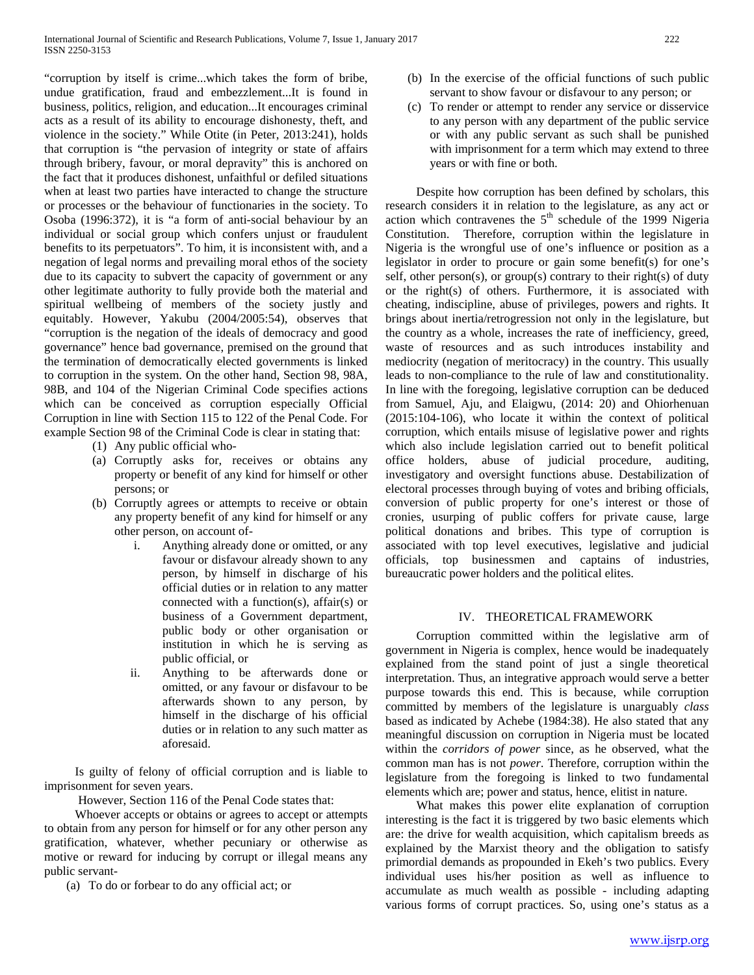"corruption by itself is crime...which takes the form of bribe, undue gratification, fraud and embezzlement...It is found in business, politics, religion, and education...It encourages criminal acts as a result of its ability to encourage dishonesty, theft, and violence in the society." While Otite (in Peter, 2013:241), holds that corruption is "the pervasion of integrity or state of affairs through bribery, favour, or moral depravity" this is anchored on the fact that it produces dishonest, unfaithful or defiled situations when at least two parties have interacted to change the structure or processes or the behaviour of functionaries in the society. To Osoba (1996:372), it is "a form of anti-social behaviour by an individual or social group which confers unjust or fraudulent benefits to its perpetuators". To him, it is inconsistent with, and a negation of legal norms and prevailing moral ethos of the society due to its capacity to subvert the capacity of government or any other legitimate authority to fully provide both the material and spiritual wellbeing of members of the society justly and equitably. However, Yakubu (2004/2005:54), observes that "corruption is the negation of the ideals of democracy and good governance" hence bad governance, premised on the ground that the termination of democratically elected governments is linked to corruption in the system. On the other hand, Section 98, 98A, 98B, and 104 of the Nigerian Criminal Code specifies actions which can be conceived as corruption especially Official Corruption in line with Section 115 to 122 of the Penal Code. For example Section 98 of the Criminal Code is clear in stating that:

- (1) Any public official who-
- (a) Corruptly asks for, receives or obtains any property or benefit of any kind for himself or other persons; or
- (b) Corruptly agrees or attempts to receive or obtain any property benefit of any kind for himself or any other person, on account of
	- i. Anything already done or omitted, or any favour or disfavour already shown to any person, by himself in discharge of his official duties or in relation to any matter connected with a function(s), affair(s) or business of a Government department, public body or other organisation or institution in which he is serving as public official, or
	- ii. Anything to be afterwards done or omitted, or any favour or disfavour to be afterwards shown to any person, by himself in the discharge of his official duties or in relation to any such matter as aforesaid.

 Is guilty of felony of official corruption and is liable to imprisonment for seven years.

However, Section 116 of the Penal Code states that:

 Whoever accepts or obtains or agrees to accept or attempts to obtain from any person for himself or for any other person any gratification, whatever, whether pecuniary or otherwise as motive or reward for inducing by corrupt or illegal means any public servant-

(a) To do or forbear to do any official act; or

- (b) In the exercise of the official functions of such public servant to show favour or disfavour to any person; or
- (c) To render or attempt to render any service or disservice to any person with any department of the public service or with any public servant as such shall be punished with imprisonment for a term which may extend to three years or with fine or both.

 Despite how corruption has been defined by scholars, this research considers it in relation to the legislature, as any act or action which contravenes the  $5<sup>th</sup>$  schedule of the 1999 Nigeria Constitution. Therefore, corruption within the legislature in Nigeria is the wrongful use of one's influence or position as a legislator in order to procure or gain some benefit(s) for one's self, other person(s), or group(s) contrary to their right(s) of duty or the right(s) of others. Furthermore, it is associated with cheating, indiscipline, abuse of privileges, powers and rights. It brings about inertia/retrogression not only in the legislature, but the country as a whole, increases the rate of inefficiency, greed, waste of resources and as such introduces instability and mediocrity (negation of meritocracy) in the country. This usually leads to non-compliance to the rule of law and constitutionality. In line with the foregoing, legislative corruption can be deduced from Samuel, Aju, and Elaigwu, (2014: 20) and Ohiorhenuan (2015:104-106), who locate it within the context of political corruption, which entails misuse of legislative power and rights which also include legislation carried out to benefit political office holders, abuse of judicial procedure, auditing, investigatory and oversight functions abuse. Destabilization of electoral processes through buying of votes and bribing officials, conversion of public property for one's interest or those of cronies, usurping of public coffers for private cause, large political donations and bribes. This type of corruption is associated with top level executives, legislative and judicial officials, top businessmen and captains of industries, bureaucratic power holders and the political elites.

# IV. THEORETICAL FRAMEWORK

 Corruption committed within the legislative arm of government in Nigeria is complex, hence would be inadequately explained from the stand point of just a single theoretical interpretation. Thus, an integrative approach would serve a better purpose towards this end. This is because, while corruption committed by members of the legislature is unarguably *class* based as indicated by Achebe (1984:38). He also stated that any meaningful discussion on corruption in Nigeria must be located within the *corridors of power* since, as he observed, what the common man has is not *power*. Therefore, corruption within the legislature from the foregoing is linked to two fundamental elements which are; power and status, hence, elitist in nature.

 What makes this power elite explanation of corruption interesting is the fact it is triggered by two basic elements which are: the drive for wealth acquisition, which capitalism breeds as explained by the Marxist theory and the obligation to satisfy primordial demands as propounded in Ekeh's two publics. Every individual uses his/her position as well as influence to accumulate as much wealth as possible - including adapting various forms of corrupt practices. So, using one's status as a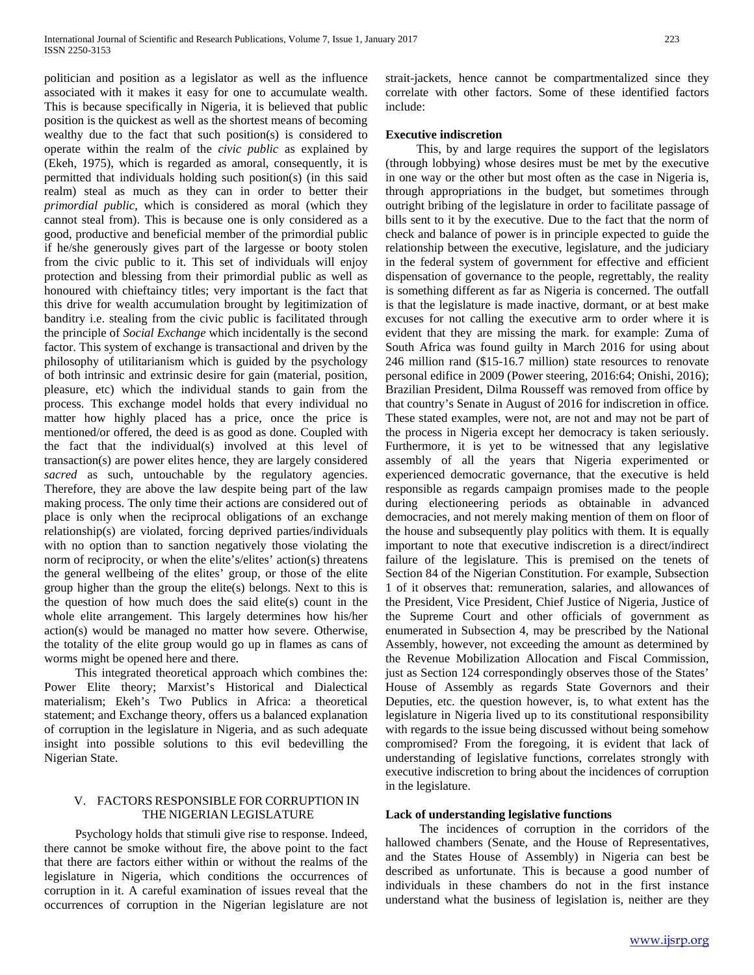politician and position as a legislator as well as the influence associated with it makes it easy for one to accumulate wealth. This is because specifically in Nigeria, it is believed that public position is the quickest as well as the shortest means of becoming wealthy due to the fact that such position(s) is considered to operate within the realm of the *civic public* as explained by (Ekeh, 1975), which is regarded as amoral, consequently, it is permitted that individuals holding such position(s) (in this said realm) steal as much as they can in order to better their *primordial public*, which is considered as moral (which they cannot steal from). This is because one is only considered as a good, productive and beneficial member of the primordial public if he/she generously gives part of the largesse or booty stolen from the civic public to it. This set of individuals will enjoy protection and blessing from their primordial public as well as honoured with chieftaincy titles; very important is the fact that this drive for wealth accumulation brought by legitimization of banditry i.e. stealing from the civic public is facilitated through the principle of *Social Exchange* which incidentally is the second factor. This system of exchange is transactional and driven by the philosophy of utilitarianism which is guided by the psychology of both intrinsic and extrinsic desire for gain (material, position, pleasure, etc) which the individual stands to gain from the process. This exchange model holds that every individual no matter how highly placed has a price, once the price is mentioned/or offered, the deed is as good as done. Coupled with the fact that the individual(s) involved at this level of transaction(s) are power elites hence, they are largely considered sacred as such, untouchable by the regulatory agencies. Therefore, they are above the law despite being part of the law making process. The only time their actions are considered out of place is only when the reciprocal obligations of an exchange relationship(s) are violated, forcing deprived parties/individuals with no option than to sanction negatively those violating the norm of reciprocity, or when the elite's/elites' action(s) threatens the general wellbeing of the elites' group, or those of the elite group higher than the group the elite(s) belongs. Next to this is the question of how much does the said elite(s) count in the whole elite arrangement. This largely determines how his/her action(s) would be managed no matter how severe. Otherwise, the totality of the elite group would go up in flames as cans of worms might be opened here and there.

 This integrated theoretical approach which combines the: Power Elite theory; Marxist's Historical and Dialectical materialism; Ekeh's Two Publics in Africa: a theoretical statement; and Exchange theory, offers us a balanced explanation of corruption in the legislature in Nigeria, and as such adequate insight into possible solutions to this evil bedevilling the Nigerian State.

# V. FACTORS RESPONSIBLE FOR CORRUPTION IN THE NIGERIAN LEGISLATURE

 Psychology holds that stimuli give rise to response. Indeed, there cannot be smoke without fire, the above point to the fact that there are factors either within or without the realms of the legislature in Nigeria, which conditions the occurrences of corruption in it. A careful examination of issues reveal that the occurrences of corruption in the Nigerian legislature are not strait-jackets, hence cannot be compartmentalized since they correlate with other factors. Some of these identified factors include:

#### **Executive indiscretion**

 This, by and large requires the support of the legislators (through lobbying) whose desires must be met by the executive in one way or the other but most often as the case in Nigeria is, through appropriations in the budget, but sometimes through outright bribing of the legislature in order to facilitate passage of bills sent to it by the executive. Due to the fact that the norm of check and balance of power is in principle expected to guide the relationship between the executive, legislature, and the judiciary in the federal system of government for effective and efficient dispensation of governance to the people, regrettably, the reality is something different as far as Nigeria is concerned. The outfall is that the legislature is made inactive, dormant, or at best make excuses for not calling the executive arm to order where it is evident that they are missing the mark. for example: Zuma of South Africa was found guilty in March 2016 for using about 246 million rand (\$15-16.7 million) state resources to renovate personal edifice in 2009 (Power steering, 2016:64; Onishi, 2016); Brazilian President, Dilma Rousseff was removed from office by that country's Senate in August of 2016 for indiscretion in office. These stated examples, were not, are not and may not be part of the process in Nigeria except her democracy is taken seriously. Furthermore, it is yet to be witnessed that any legislative assembly of all the years that Nigeria experimented or experienced democratic governance, that the executive is held responsible as regards campaign promises made to the people during electioneering periods as obtainable in advanced democracies, and not merely making mention of them on floor of the house and subsequently play politics with them. It is equally important to note that executive indiscretion is a direct/indirect failure of the legislature. This is premised on the tenets of Section 84 of the Nigerian Constitution. For example, Subsection 1 of it observes that: remuneration, salaries, and allowances of the President, Vice President, Chief Justice of Nigeria, Justice of the Supreme Court and other officials of government as enumerated in Subsection 4, may be prescribed by the National Assembly, however, not exceeding the amount as determined by the Revenue Mobilization Allocation and Fiscal Commission, just as Section 124 correspondingly observes those of the States' House of Assembly as regards State Governors and their Deputies, etc. the question however, is, to what extent has the legislature in Nigeria lived up to its constitutional responsibility with regards to the issue being discussed without being somehow compromised? From the foregoing, it is evident that lack of understanding of legislative functions, correlates strongly with executive indiscretion to bring about the incidences of corruption in the legislature.

#### **Lack of understanding legislative functions**

 The incidences of corruption in the corridors of the hallowed chambers (Senate, and the House of Representatives, and the States House of Assembly) in Nigeria can best be described as unfortunate. This is because a good number of individuals in these chambers do not in the first instance understand what the business of legislation is, neither are they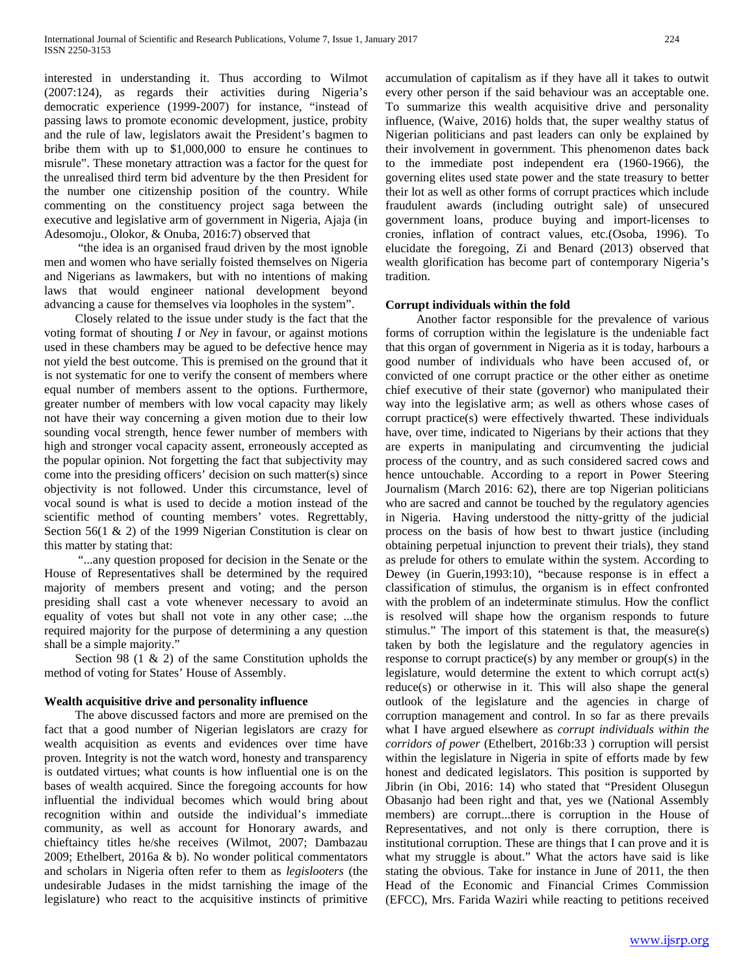interested in understanding it. Thus according to Wilmot (2007:124), as regards their activities during Nigeria's democratic experience (1999-2007) for instance, "instead of passing laws to promote economic development, justice, probity and the rule of law, legislators await the President's bagmen to bribe them with up to \$1,000,000 to ensure he continues to misrule". These monetary attraction was a factor for the quest for the unrealised third term bid adventure by the then President for the number one citizenship position of the country. While commenting on the constituency project saga between the executive and legislative arm of government in Nigeria, Ajaja (in Adesomoju., Olokor, & Onuba, 2016:7) observed that

 "the idea is an organised fraud driven by the most ignoble men and women who have serially foisted themselves on Nigeria and Nigerians as lawmakers, but with no intentions of making laws that would engineer national development beyond advancing a cause for themselves via loopholes in the system".

 Closely related to the issue under study is the fact that the voting format of shouting *I* or *Ney* in favour, or against motions used in these chambers may be agued to be defective hence may not yield the best outcome. This is premised on the ground that it is not systematic for one to verify the consent of members where equal number of members assent to the options. Furthermore, greater number of members with low vocal capacity may likely not have their way concerning a given motion due to their low sounding vocal strength, hence fewer number of members with high and stronger vocal capacity assent, erroneously accepted as the popular opinion. Not forgetting the fact that subjectivity may come into the presiding officers' decision on such matter(s) since objectivity is not followed. Under this circumstance, level of vocal sound is what is used to decide a motion instead of the scientific method of counting members' votes. Regrettably, Section 56(1 & 2) of the 1999 Nigerian Constitution is clear on this matter by stating that:

 "...any question proposed for decision in the Senate or the House of Representatives shall be determined by the required majority of members present and voting; and the person presiding shall cast a vote whenever necessary to avoid an equality of votes but shall not vote in any other case; ...the required majority for the purpose of determining a any question shall be a simple majority."

Section 98 (1  $\&$  2) of the same Constitution upholds the method of voting for States' House of Assembly.

# **Wealth acquisitive drive and personality influence**

 The above discussed factors and more are premised on the fact that a good number of Nigerian legislators are crazy for wealth acquisition as events and evidences over time have proven. Integrity is not the watch word, honesty and transparency is outdated virtues; what counts is how influential one is on the bases of wealth acquired. Since the foregoing accounts for how influential the individual becomes which would bring about recognition within and outside the individual's immediate community, as well as account for Honorary awards, and chieftaincy titles he/she receives (Wilmot, 2007; Dambazau 2009; Ethelbert, 2016a & b). No wonder political commentators and scholars in Nigeria often refer to them as *legislooters* (the undesirable Judases in the midst tarnishing the image of the legislature) who react to the acquisitive instincts of primitive accumulation of capitalism as if they have all it takes to outwit every other person if the said behaviour was an acceptable one. To summarize this wealth acquisitive drive and personality influence, (Waive, 2016) holds that, the super wealthy status of Nigerian politicians and past leaders can only be explained by their involvement in government. This phenomenon dates back to the immediate post independent era (1960-1966), the governing elites used state power and the state treasury to better their lot as well as other forms of corrupt practices which include fraudulent awards (including outright sale) of unsecured government loans, produce buying and import-licenses to cronies, inflation of contract values, etc.(Osoba, 1996). To elucidate the foregoing, Zi and Benard (2013) observed that wealth glorification has become part of contemporary Nigeria's tradition.

# **Corrupt individuals within the fold**

 Another factor responsible for the prevalence of various forms of corruption within the legislature is the undeniable fact that this organ of government in Nigeria as it is today, harbours a good number of individuals who have been accused of, or convicted of one corrupt practice or the other either as onetime chief executive of their state (governor) who manipulated their way into the legislative arm; as well as others whose cases of corrupt practice(s) were effectively thwarted. These individuals have, over time, indicated to Nigerians by their actions that they are experts in manipulating and circumventing the judicial process of the country, and as such considered sacred cows and hence untouchable. According to a report in Power Steering Journalism (March 2016: 62), there are top Nigerian politicians who are sacred and cannot be touched by the regulatory agencies in Nigeria. Having understood the nitty-gritty of the judicial process on the basis of how best to thwart justice (including obtaining perpetual injunction to prevent their trials), they stand as prelude for others to emulate within the system. According to Dewey (in Guerin,1993:10), "because response is in effect a classification of stimulus, the organism is in effect confronted with the problem of an indeterminate stimulus. How the conflict is resolved will shape how the organism responds to future stimulus." The import of this statement is that, the measure(s) taken by both the legislature and the regulatory agencies in response to corrupt practice(s) by any member or group(s) in the legislature, would determine the extent to which corrupt act(s) reduce(s) or otherwise in it. This will also shape the general outlook of the legislature and the agencies in charge of corruption management and control. In so far as there prevails what I have argued elsewhere as *corrupt individuals within the corridors of power* (Ethelbert, 2016b:33 ) corruption will persist within the legislature in Nigeria in spite of efforts made by few honest and dedicated legislators. This position is supported by Jibrin (in Obi, 2016: 14) who stated that "President Olusegun Obasanjo had been right and that, yes we (National Assembly members) are corrupt...there is corruption in the House of Representatives, and not only is there corruption, there is institutional corruption. These are things that I can prove and it is what my struggle is about." What the actors have said is like stating the obvious. Take for instance in June of 2011, the then Head of the Economic and Financial Crimes Commission (EFCC), Mrs. Farida Waziri while reacting to petitions received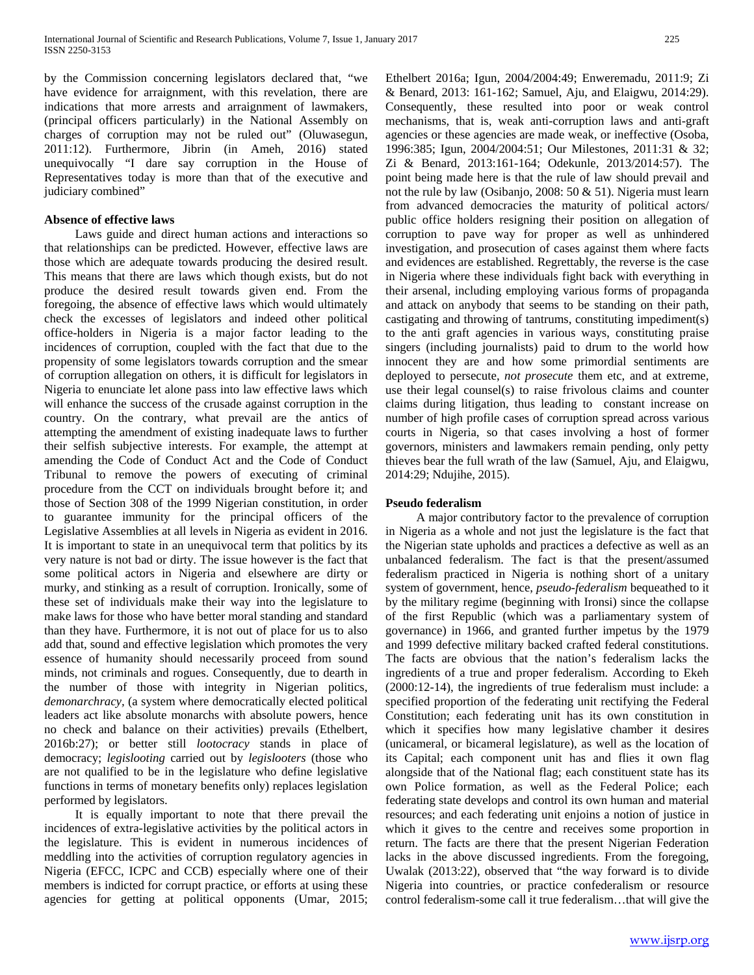by the Commission concerning legislators declared that, "we have evidence for arraignment, with this revelation, there are indications that more arrests and arraignment of lawmakers, (principal officers particularly) in the National Assembly on charges of corruption may not be ruled out" (Oluwasegun, 2011:12). Furthermore, Jibrin (in Ameh, 2016) stated unequivocally "I dare say corruption in the House of Representatives today is more than that of the executive and judiciary combined"

# **Absence of effective laws**

 Laws guide and direct human actions and interactions so that relationships can be predicted. However, effective laws are those which are adequate towards producing the desired result. This means that there are laws which though exists, but do not produce the desired result towards given end. From the foregoing, the absence of effective laws which would ultimately check the excesses of legislators and indeed other political office-holders in Nigeria is a major factor leading to the incidences of corruption, coupled with the fact that due to the propensity of some legislators towards corruption and the smear of corruption allegation on others, it is difficult for legislators in Nigeria to enunciate let alone pass into law effective laws which will enhance the success of the crusade against corruption in the country. On the contrary, what prevail are the antics of attempting the amendment of existing inadequate laws to further their selfish subjective interests. For example, the attempt at amending the Code of Conduct Act and the Code of Conduct Tribunal to remove the powers of executing of criminal procedure from the CCT on individuals brought before it; and those of Section 308 of the 1999 Nigerian constitution, in order to guarantee immunity for the principal officers of the Legislative Assemblies at all levels in Nigeria as evident in 2016. It is important to state in an unequivocal term that politics by its very nature is not bad or dirty. The issue however is the fact that some political actors in Nigeria and elsewhere are dirty or murky, and stinking as a result of corruption. Ironically, some of these set of individuals make their way into the legislature to make laws for those who have better moral standing and standard than they have. Furthermore, it is not out of place for us to also add that, sound and effective legislation which promotes the very essence of humanity should necessarily proceed from sound minds, not criminals and rogues. Consequently, due to dearth in the number of those with integrity in Nigerian politics, *demonarchracy,* (a system where democratically elected political leaders act like absolute monarchs with absolute powers, hence no check and balance on their activities) prevails (Ethelbert, 2016b:27); or better still *lootocracy* stands in place of democracy; *legislooting* carried out by *legislooters* (those who are not qualified to be in the legislature who define legislative functions in terms of monetary benefits only) replaces legislation performed by legislators.

 It is equally important to note that there prevail the incidences of extra-legislative activities by the political actors in the legislature. This is evident in numerous incidences of meddling into the activities of corruption regulatory agencies in Nigeria (EFCC, ICPC and CCB) especially where one of their members is indicted for corrupt practice, or efforts at using these agencies for getting at political opponents (Umar, 2015; Ethelbert 2016a; Igun, 2004/2004:49; Enweremadu, 2011:9; Zi & Benard, 2013: 161-162; Samuel, Aju, and Elaigwu, 2014:29). Consequently, these resulted into poor or weak control mechanisms, that is, weak anti-corruption laws and anti-graft agencies or these agencies are made weak, or ineffective (Osoba, 1996:385; Igun, 2004/2004:51; Our Milestones, 2011:31 & 32; Zi & Benard, 2013:161-164; Odekunle, 2013/2014:57). The point being made here is that the rule of law should prevail and not the rule by law (Osibanjo, 2008: 50 & 51). Nigeria must learn from advanced democracies the maturity of political actors/ public office holders resigning their position on allegation of corruption to pave way for proper as well as unhindered investigation, and prosecution of cases against them where facts and evidences are established. Regrettably, the reverse is the case in Nigeria where these individuals fight back with everything in their arsenal, including employing various forms of propaganda and attack on anybody that seems to be standing on their path, castigating and throwing of tantrums, constituting impediment(s) to the anti graft agencies in various ways, constituting praise singers (including journalists) paid to drum to the world how innocent they are and how some primordial sentiments are deployed to persecute, *not prosecute* them etc, and at extreme, use their legal counsel(s) to raise frivolous claims and counter claims during litigation, thus leading to constant increase on number of high profile cases of corruption spread across various courts in Nigeria, so that cases involving a host of former governors, ministers and lawmakers remain pending, only petty thieves bear the full wrath of the law (Samuel, Aju, and Elaigwu, 2014:29; Ndujihe, 2015).

# **Pseudo federalism**

 A major contributory factor to the prevalence of corruption in Nigeria as a whole and not just the legislature is the fact that the Nigerian state upholds and practices a defective as well as an unbalanced federalism. The fact is that the present/assumed federalism practiced in Nigeria is nothing short of a unitary system of government, hence, *pseudo-federalism* bequeathed to it by the military regime (beginning with Ironsi) since the collapse of the first Republic (which was a parliamentary system of governance) in 1966, and granted further impetus by the 1979 and 1999 defective military backed crafted federal constitutions. The facts are obvious that the nation's federalism lacks the ingredients of a true and proper federalism. According to Ekeh (2000:12-14), the ingredients of true federalism must include: a specified proportion of the federating unit rectifying the Federal Constitution; each federating unit has its own constitution in which it specifies how many legislative chamber it desires (unicameral, or bicameral legislature), as well as the location of its Capital; each component unit has and flies it own flag alongside that of the National flag; each constituent state has its own Police formation, as well as the Federal Police; each federating state develops and control its own human and material resources; and each federating unit enjoins a notion of justice in which it gives to the centre and receives some proportion in return. The facts are there that the present Nigerian Federation lacks in the above discussed ingredients. From the foregoing, Uwalak (2013:22), observed that "the way forward is to divide Nigeria into countries, or practice confederalism or resource control federalism-some call it true federalism…that will give the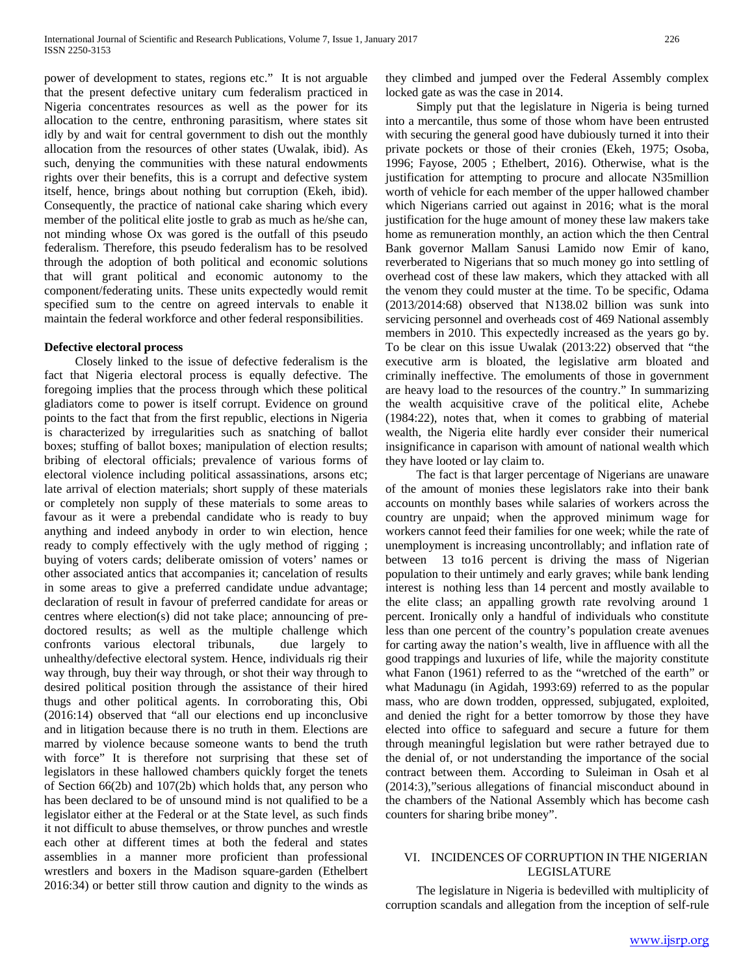power of development to states, regions etc." It is not arguable that the present defective unitary cum federalism practiced in Nigeria concentrates resources as well as the power for its allocation to the centre, enthroning parasitism, where states sit idly by and wait for central government to dish out the monthly allocation from the resources of other states (Uwalak, ibid). As such, denying the communities with these natural endowments rights over their benefits, this is a corrupt and defective system itself, hence, brings about nothing but corruption (Ekeh, ibid). Consequently, the practice of national cake sharing which every member of the political elite jostle to grab as much as he/she can, not minding whose Ox was gored is the outfall of this pseudo federalism. Therefore, this pseudo federalism has to be resolved through the adoption of both political and economic solutions that will grant political and economic autonomy to the component/federating units. These units expectedly would remit specified sum to the centre on agreed intervals to enable it maintain the federal workforce and other federal responsibilities.

#### **Defective electoral process**

 Closely linked to the issue of defective federalism is the fact that Nigeria electoral process is equally defective. The foregoing implies that the process through which these political gladiators come to power is itself corrupt. Evidence on ground points to the fact that from the first republic, elections in Nigeria is characterized by irregularities such as snatching of ballot boxes; stuffing of ballot boxes; manipulation of election results; bribing of electoral officials; prevalence of various forms of electoral violence including political assassinations, arsons etc; late arrival of election materials; short supply of these materials or completely non supply of these materials to some areas to favour as it were a prebendal candidate who is ready to buy anything and indeed anybody in order to win election, hence ready to comply effectively with the ugly method of rigging ; buying of voters cards; deliberate omission of voters' names or other associated antics that accompanies it; cancelation of results in some areas to give a preferred candidate undue advantage; declaration of result in favour of preferred candidate for areas or centres where election(s) did not take place; announcing of predoctored results; as well as the multiple challenge which confronts various electoral tribunals, due largely to unhealthy/defective electoral system. Hence, individuals rig their way through, buy their way through, or shot their way through to desired political position through the assistance of their hired thugs and other political agents. In corroborating this, Obi (2016:14) observed that "all our elections end up inconclusive and in litigation because there is no truth in them. Elections are marred by violence because someone wants to bend the truth with force" It is therefore not surprising that these set of legislators in these hallowed chambers quickly forget the tenets of Section 66(2b) and 107(2b) which holds that, any person who has been declared to be of unsound mind is not qualified to be a legislator either at the Federal or at the State level, as such finds it not difficult to abuse themselves, or throw punches and wrestle each other at different times at both the federal and states assemblies in a manner more proficient than professional wrestlers and boxers in the Madison square-garden (Ethelbert 2016:34) or better still throw caution and dignity to the winds as they climbed and jumped over the Federal Assembly complex locked gate as was the case in 2014.

 Simply put that the legislature in Nigeria is being turned into a mercantile, thus some of those whom have been entrusted with securing the general good have dubiously turned it into their private pockets or those of their cronies (Ekeh, 1975; Osoba, 1996; Fayose, 2005 ; Ethelbert, 2016). Otherwise, what is the justification for attempting to procure and allocate N35million worth of vehicle for each member of the upper hallowed chamber which Nigerians carried out against in 2016; what is the moral justification for the huge amount of money these law makers take home as remuneration monthly, an action which the then Central Bank governor Mallam Sanusi Lamido now Emir of kano, reverberated to Nigerians that so much money go into settling of overhead cost of these law makers, which they attacked with all the venom they could muster at the time. To be specific, Odama (2013/2014:68) observed that N138.02 billion was sunk into servicing personnel and overheads cost of 469 National assembly members in 2010. This expectedly increased as the years go by. To be clear on this issue Uwalak (2013:22) observed that "the executive arm is bloated, the legislative arm bloated and criminally ineffective. The emoluments of those in government are heavy load to the resources of the country." In summarizing the wealth acquisitive crave of the political elite, Achebe (1984:22), notes that, when it comes to grabbing of material wealth, the Nigeria elite hardly ever consider their numerical insignificance in caparison with amount of national wealth which they have looted or lay claim to.

 The fact is that larger percentage of Nigerians are unaware of the amount of monies these legislators rake into their bank accounts on monthly bases while salaries of workers across the country are unpaid; when the approved minimum wage for workers cannot feed their families for one week; while the rate of unemployment is increasing uncontrollably; and inflation rate of between 13 to16 percent is driving the mass of Nigerian population to their untimely and early graves; while bank lending interest is nothing less than 14 percent and mostly available to the elite class; an appalling growth rate revolving around 1 percent. Ironically only a handful of individuals who constitute less than one percent of the country's population create avenues for carting away the nation's wealth, live in affluence with all the good trappings and luxuries of life, while the majority constitute what Fanon (1961) referred to as the "wretched of the earth" or what Madunagu (in Agidah, 1993:69) referred to as the popular mass, who are down trodden, oppressed, subjugated, exploited, and denied the right for a better tomorrow by those they have elected into office to safeguard and secure a future for them through meaningful legislation but were rather betrayed due to the denial of, or not understanding the importance of the social contract between them. According to Suleiman in Osah et al (2014:3),"serious allegations of financial misconduct abound in the chambers of the National Assembly which has become cash counters for sharing bribe money".

#### VI. INCIDENCES OF CORRUPTION IN THE NIGERIAN LEGISLATURE

 The legislature in Nigeria is bedevilled with multiplicity of corruption scandals and allegation from the inception of self-rule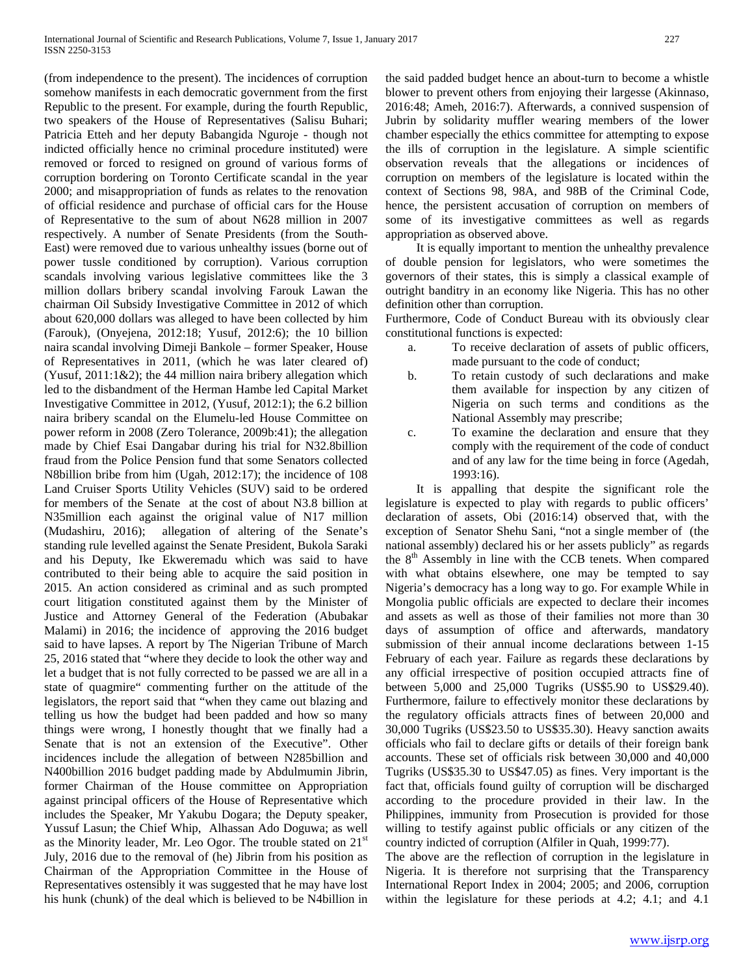(from independence to the present). The incidences of corruption somehow manifests in each democratic government from the first Republic to the present. For example, during the fourth Republic, two speakers of the House of Representatives (Salisu Buhari; Patricia Etteh and her deputy Babangida Nguroje - though not indicted officially hence no criminal procedure instituted) were removed or forced to resigned on ground of various forms of corruption bordering on Toronto Certificate scandal in the year 2000; and misappropriation of funds as relates to the renovation of official residence and purchase of official cars for the House of Representative to the sum of about N628 million in 2007 respectively. A number of Senate Presidents (from the South-East) were removed due to various unhealthy issues (borne out of power tussle conditioned by corruption). Various corruption scandals involving various legislative committees like the 3 million dollars bribery scandal involving Farouk Lawan the chairman Oil Subsidy Investigative Committee in 2012 of which about 620,000 dollars was alleged to have been collected by him (Farouk), (Onyejena, 2012:18; Yusuf, 2012:6); the 10 billion naira scandal involving Dimeji Bankole – former Speaker, House of Representatives in 2011, (which he was later cleared of) (Yusuf, 2011:1&2); the 44 million naira bribery allegation which led to the disbandment of the Herman Hambe led Capital Market Investigative Committee in 2012, (Yusuf, 2012:1); the 6.2 billion naira bribery scandal on the Elumelu-led House Committee on power reform in 2008 (Zero Tolerance, 2009b:41); the allegation made by Chief Esai Dangabar during his trial for N32.8billion fraud from the Police Pension fund that some Senators collected N8billion bribe from him (Ugah, 2012:17); the incidence of 108 Land Cruiser Sports Utility Vehicles (SUV) said to be ordered for members of the Senate at the cost of about N3.8 billion at N35million each against the original value of N17 million (Mudashiru, 2016); allegation of altering of the Senate's standing rule levelled against the Senate President, Bukola Saraki and his Deputy, Ike Ekweremadu which was said to have contributed to their being able to acquire the said position in 2015. An action considered as criminal and as such prompted court litigation constituted against them by the Minister of Justice and Attorney General of the Federation (Abubakar Malami) in 2016; the incidence of approving the 2016 budget said to have lapses. A report by The Nigerian Tribune of March 25, 2016 stated that "where they decide to look the other way and let a budget that is not fully corrected to be passed we are all in a state of quagmire" commenting further on the attitude of the legislators, the report said that "when they came out blazing and telling us how the budget had been padded and how so many things were wrong, I honestly thought that we finally had a Senate that is not an extension of the Executive". Other incidences include the allegation of between N285billion and N400billion 2016 budget padding made by Abdulmumin Jibrin, former Chairman of the House committee on Appropriation against principal officers of the House of Representative which includes the Speaker, Mr Yakubu Dogara; the Deputy speaker, Yussuf Lasun; the Chief Whip, Alhassan Ado Doguwa; as well as the Minority leader, Mr. Leo Ogor. The trouble stated on  $21<sup>st</sup>$ July, 2016 due to the removal of (he) Jibrin from his position as Chairman of the Appropriation Committee in the House of Representatives ostensibly it was suggested that he may have lost his hunk (chunk) of the deal which is believed to be N4billion in the said padded budget hence an about-turn to become a whistle blower to prevent others from enjoying their largesse (Akinnaso, 2016:48; Ameh, 2016:7). Afterwards, a connived suspension of Jubrin by solidarity muffler wearing members of the lower chamber especially the ethics committee for attempting to expose the ills of corruption in the legislature. A simple scientific observation reveals that the allegations or incidences of corruption on members of the legislature is located within the context of Sections 98, 98A, and 98B of the Criminal Code, hence, the persistent accusation of corruption on members of some of its investigative committees as well as regards appropriation as observed above.

 It is equally important to mention the unhealthy prevalence of double pension for legislators, who were sometimes the governors of their states, this is simply a classical example of outright banditry in an economy like Nigeria. This has no other definition other than corruption.

Furthermore, Code of Conduct Bureau with its obviously clear constitutional functions is expected:

- a. To receive declaration of assets of public officers, made pursuant to the code of conduct;
- b. To retain custody of such declarations and make them available for inspection by any citizen of Nigeria on such terms and conditions as the National Assembly may prescribe;
- c. To examine the declaration and ensure that they comply with the requirement of the code of conduct and of any law for the time being in force (Agedah, 1993:16).

 It is appalling that despite the significant role the legislature is expected to play with regards to public officers' declaration of assets, Obi (2016:14) observed that, with the exception of Senator Shehu Sani, "not a single member of (the national assembly) declared his or her assets publicly" as regards the  $8<sup>th</sup>$  Assembly in line with the CCB tenets. When compared with what obtains elsewhere, one may be tempted to say Nigeria's democracy has a long way to go. For example While in Mongolia public officials are expected to declare their incomes and assets as well as those of their families not more than 30 days of assumption of office and afterwards, mandatory submission of their annual income declarations between 1-15 February of each year. Failure as regards these declarations by any official irrespective of position occupied attracts fine of between 5,000 and 25,000 Tugriks (US\$5.90 to US\$29.40). Furthermore, failure to effectively monitor these declarations by the regulatory officials attracts fines of between 20,000 and 30,000 Tugriks (US\$23.50 to US\$35.30). Heavy sanction awaits officials who fail to declare gifts or details of their foreign bank accounts. These set of officials risk between 30,000 and 40,000 Tugriks (US\$35.30 to US\$47.05) as fines. Very important is the fact that, officials found guilty of corruption will be discharged according to the procedure provided in their law. In the Philippines, immunity from Prosecution is provided for those willing to testify against public officials or any citizen of the country indicted of corruption (Alfiler in Quah, 1999:77).

The above are the reflection of corruption in the legislature in Nigeria. It is therefore not surprising that the Transparency International Report Index in 2004; 2005; and 2006, corruption within the legislature for these periods at 4.2; 4.1; and 4.1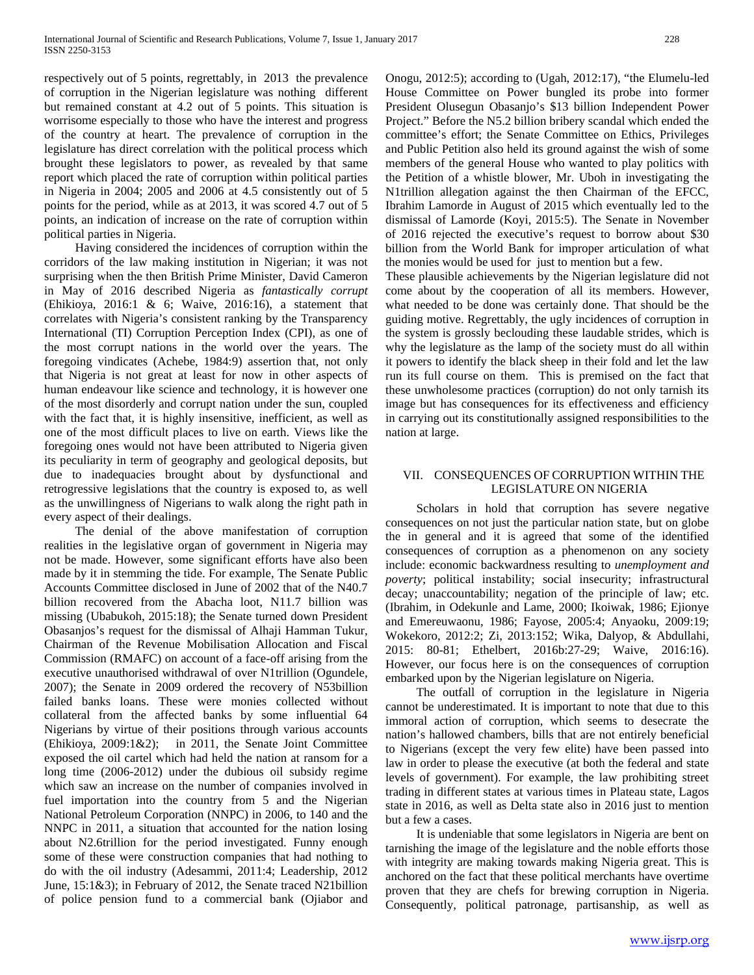respectively out of 5 points, regrettably, in 2013 the prevalence of corruption in the Nigerian legislature was nothing different but remained constant at 4.2 out of 5 points. This situation is worrisome especially to those who have the interest and progress of the country at heart. The prevalence of corruption in the legislature has direct correlation with the political process which brought these legislators to power, as revealed by that same report which placed the rate of corruption within political parties in Nigeria in 2004; 2005 and 2006 at 4.5 consistently out of 5 points for the period, while as at 2013, it was scored 4.7 out of 5 points, an indication of increase on the rate of corruption within political parties in Nigeria.

 Having considered the incidences of corruption within the corridors of the law making institution in Nigerian; it was not surprising when the then British Prime Minister, David Cameron in May of 2016 described Nigeria as *fantastically corrupt* (Ehikioya, 2016:1 & 6; Waive, 2016:16), a statement that correlates with Nigeria's consistent ranking by the Transparency International (TI) Corruption Perception Index (CPI), as one of the most corrupt nations in the world over the years. The foregoing vindicates (Achebe, 1984:9) assertion that, not only that Nigeria is not great at least for now in other aspects of human endeavour like science and technology, it is however one of the most disorderly and corrupt nation under the sun, coupled with the fact that, it is highly insensitive, inefficient, as well as one of the most difficult places to live on earth. Views like the foregoing ones would not have been attributed to Nigeria given its peculiarity in term of geography and geological deposits, but due to inadequacies brought about by dysfunctional and retrogressive legislations that the country is exposed to, as well as the unwillingness of Nigerians to walk along the right path in every aspect of their dealings.

 The denial of the above manifestation of corruption realities in the legislative organ of government in Nigeria may not be made. However, some significant efforts have also been made by it in stemming the tide. For example, The Senate Public Accounts Committee disclosed in June of 2002 that of the N40.7 billion recovered from the Abacha loot, N11.7 billion was missing (Ubabukoh, 2015:18); the Senate turned down President Obasanjos's request for the dismissal of Alhaji Hamman Tukur, Chairman of the Revenue Mobilisation Allocation and Fiscal Commission (RMAFC) on account of a face-off arising from the executive unauthorised withdrawal of over N1trillion (Ogundele, 2007); the Senate in 2009 ordered the recovery of N53billion failed banks loans. These were monies collected without collateral from the affected banks by some influential 64 Nigerians by virtue of their positions through various accounts (Ehikioya, 2009:1&2); in 2011, the Senate Joint Committee exposed the oil cartel which had held the nation at ransom for a long time (2006-2012) under the dubious oil subsidy regime which saw an increase on the number of companies involved in fuel importation into the country from 5 and the Nigerian National Petroleum Corporation (NNPC) in 2006, to 140 and the NNPC in 2011, a situation that accounted for the nation losing about N2.6trillion for the period investigated. Funny enough some of these were construction companies that had nothing to do with the oil industry (Adesammi, 2011:4; Leadership, 2012 June, 15:1&3); in February of 2012, the Senate traced N21billion of police pension fund to a commercial bank (Ojiabor and

Onogu, 2012:5); according to (Ugah, 2012:17), "the Elumelu-led House Committee on Power bungled its probe into former President Olusegun Obasanjo's \$13 billion Independent Power Project." Before the N5.2 billion bribery scandal which ended the committee's effort; the Senate Committee on Ethics, Privileges and Public Petition also held its ground against the wish of some members of the general House who wanted to play politics with the Petition of a whistle blower, Mr. Uboh in investigating the N1trillion allegation against the then Chairman of the EFCC, Ibrahim Lamorde in August of 2015 which eventually led to the dismissal of Lamorde (Koyi, 2015:5). The Senate in November of 2016 rejected the executive's request to borrow about \$30 billion from the World Bank for improper articulation of what the monies would be used for just to mention but a few.

These plausible achievements by the Nigerian legislature did not come about by the cooperation of all its members. However, what needed to be done was certainly done. That should be the guiding motive. Regrettably, the ugly incidences of corruption in the system is grossly beclouding these laudable strides, which is why the legislature as the lamp of the society must do all within it powers to identify the black sheep in their fold and let the law run its full course on them. This is premised on the fact that these unwholesome practices (corruption) do not only tarnish its image but has consequences for its effectiveness and efficiency in carrying out its constitutionally assigned responsibilities to the nation at large.

# VII. CONSEQUENCES OF CORRUPTION WITHIN THE LEGISLATURE ON NIGERIA

 Scholars in hold that corruption has severe negative consequences on not just the particular nation state, but on globe the in general and it is agreed that some of the identified consequences of corruption as a phenomenon on any society include: economic backwardness resulting to *unemployment and poverty*; political instability; social insecurity; infrastructural decay; unaccountability; negation of the principle of law; etc. (Ibrahim, in Odekunle and Lame, 2000; Ikoiwak, 1986; Ejionye and Emereuwaonu, 1986; Fayose, 2005:4; Anyaoku, 2009:19; Wokekoro, 2012:2; Zi, 2013:152; Wika, Dalyop, & Abdullahi, 2015: 80-81; Ethelbert, 2016b:27-29; Waive, 2016:16). However, our focus here is on the consequences of corruption embarked upon by the Nigerian legislature on Nigeria.

 The outfall of corruption in the legislature in Nigeria cannot be underestimated. It is important to note that due to this immoral action of corruption, which seems to desecrate the nation's hallowed chambers, bills that are not entirely beneficial to Nigerians (except the very few elite) have been passed into law in order to please the executive (at both the federal and state levels of government). For example, the law prohibiting street trading in different states at various times in Plateau state, Lagos state in 2016, as well as Delta state also in 2016 just to mention but a few a cases.

 It is undeniable that some legislators in Nigeria are bent on tarnishing the image of the legislature and the noble efforts those with integrity are making towards making Nigeria great. This is anchored on the fact that these political merchants have overtime proven that they are chefs for brewing corruption in Nigeria. Consequently, political patronage, partisanship, as well as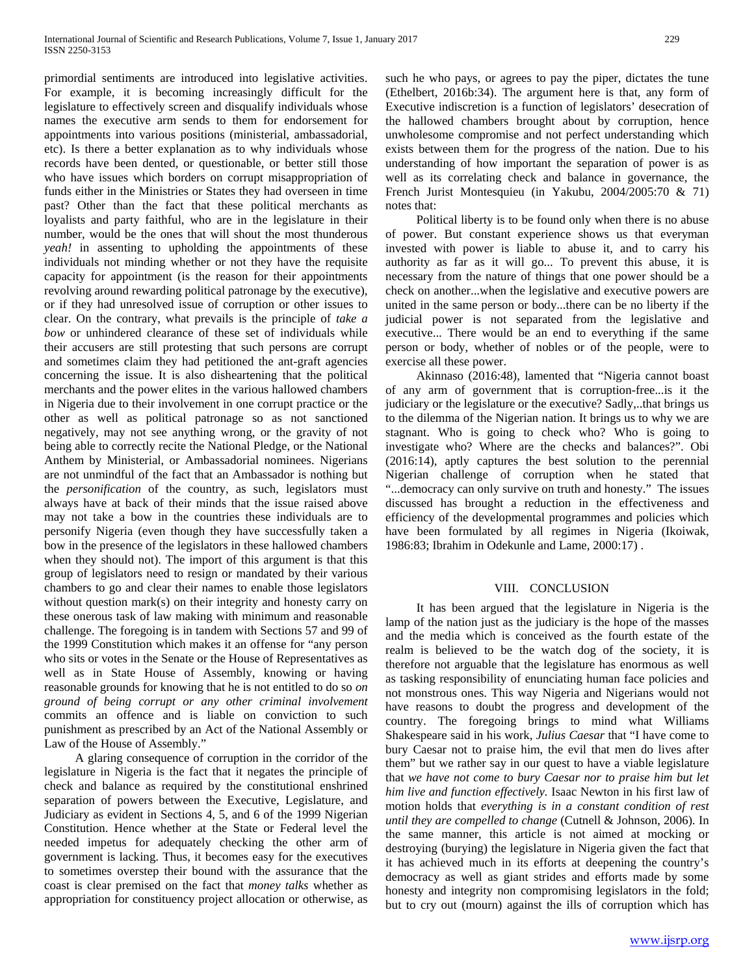primordial sentiments are introduced into legislative activities. For example, it is becoming increasingly difficult for the legislature to effectively screen and disqualify individuals whose names the executive arm sends to them for endorsement for appointments into various positions (ministerial, ambassadorial, etc). Is there a better explanation as to why individuals whose records have been dented, or questionable, or better still those who have issues which borders on corrupt misappropriation of funds either in the Ministries or States they had overseen in time past? Other than the fact that these political merchants as loyalists and party faithful, who are in the legislature in their number, would be the ones that will shout the most thunderous *yeah!* in assenting to upholding the appointments of these individuals not minding whether or not they have the requisite capacity for appointment (is the reason for their appointments revolving around rewarding political patronage by the executive), or if they had unresolved issue of corruption or other issues to clear. On the contrary, what prevails is the principle of *take a bow* or unhindered clearance of these set of individuals while their accusers are still protesting that such persons are corrupt and sometimes claim they had petitioned the ant-graft agencies concerning the issue. It is also disheartening that the political merchants and the power elites in the various hallowed chambers in Nigeria due to their involvement in one corrupt practice or the other as well as political patronage so as not sanctioned negatively, may not see anything wrong, or the gravity of not being able to correctly recite the National Pledge, or the National Anthem by Ministerial, or Ambassadorial nominees. Nigerians are not unmindful of the fact that an Ambassador is nothing but the *personification* of the country, as such, legislators must always have at back of their minds that the issue raised above may not take a bow in the countries these individuals are to personify Nigeria (even though they have successfully taken a bow in the presence of the legislators in these hallowed chambers when they should not). The import of this argument is that this group of legislators need to resign or mandated by their various chambers to go and clear their names to enable those legislators without question mark(s) on their integrity and honesty carry on these onerous task of law making with minimum and reasonable challenge. The foregoing is in tandem with Sections 57 and 99 of the 1999 Constitution which makes it an offense for "any person who sits or votes in the Senate or the House of Representatives as well as in State House of Assembly, knowing or having reasonable grounds for knowing that he is not entitled to do so *on ground of being corrupt or any other criminal involvement* commits an offence and is liable on conviction to such punishment as prescribed by an Act of the National Assembly or Law of the House of Assembly."

 A glaring consequence of corruption in the corridor of the legislature in Nigeria is the fact that it negates the principle of check and balance as required by the constitutional enshrined separation of powers between the Executive, Legislature, and Judiciary as evident in Sections 4, 5, and 6 of the 1999 Nigerian Constitution. Hence whether at the State or Federal level the needed impetus for adequately checking the other arm of government is lacking. Thus, it becomes easy for the executives to sometimes overstep their bound with the assurance that the coast is clear premised on the fact that *money talks* whether as appropriation for constituency project allocation or otherwise, as

such he who pays, or agrees to pay the piper, dictates the tune (Ethelbert, 2016b:34). The argument here is that, any form of Executive indiscretion is a function of legislators' desecration of the hallowed chambers brought about by corruption, hence unwholesome compromise and not perfect understanding which exists between them for the progress of the nation. Due to his understanding of how important the separation of power is as well as its correlating check and balance in governance, the French Jurist Montesquieu (in Yakubu, 2004/2005:70 & 71) notes that:

 Political liberty is to be found only when there is no abuse of power. But constant experience shows us that everyman invested with power is liable to abuse it, and to carry his authority as far as it will go... To prevent this abuse, it is necessary from the nature of things that one power should be a check on another...when the legislative and executive powers are united in the same person or body...there can be no liberty if the judicial power is not separated from the legislative and executive... There would be an end to everything if the same person or body, whether of nobles or of the people, were to exercise all these power.

 Akinnaso (2016:48), lamented that "Nigeria cannot boast of any arm of government that is corruption-free...is it the judiciary or the legislature or the executive? Sadly,..that brings us to the dilemma of the Nigerian nation. It brings us to why we are stagnant. Who is going to check who? Who is going to investigate who? Where are the checks and balances?". Obi (2016:14), aptly captures the best solution to the perennial Nigerian challenge of corruption when he stated that "...democracy can only survive on truth and honesty." The issues discussed has brought a reduction in the effectiveness and efficiency of the developmental programmes and policies which have been formulated by all regimes in Nigeria (Ikoiwak, 1986:83; Ibrahim in Odekunle and Lame, 2000:17) .

# VIII. CONCLUSION

 It has been argued that the legislature in Nigeria is the lamp of the nation just as the judiciary is the hope of the masses and the media which is conceived as the fourth estate of the realm is believed to be the watch dog of the society, it is therefore not arguable that the legislature has enormous as well as tasking responsibility of enunciating human face policies and not monstrous ones. This way Nigeria and Nigerians would not have reasons to doubt the progress and development of the country. The foregoing brings to mind what Williams Shakespeare said in his work, *Julius Caesar* that "I have come to bury Caesar not to praise him, the evil that men do lives after them" but we rather say in our quest to have a viable legislature that *we have not come to bury Caesar nor to praise him but let him live and function effectively.* Isaac Newton in his first law of motion holds that *everything is in a constant condition of rest until they are compelled to change* (Cutnell & Johnson, 2006)*.* In the same manner, this article is not aimed at mocking or destroying (burying) the legislature in Nigeria given the fact that it has achieved much in its efforts at deepening the country's democracy as well as giant strides and efforts made by some honesty and integrity non compromising legislators in the fold; but to cry out (mourn) against the ills of corruption which has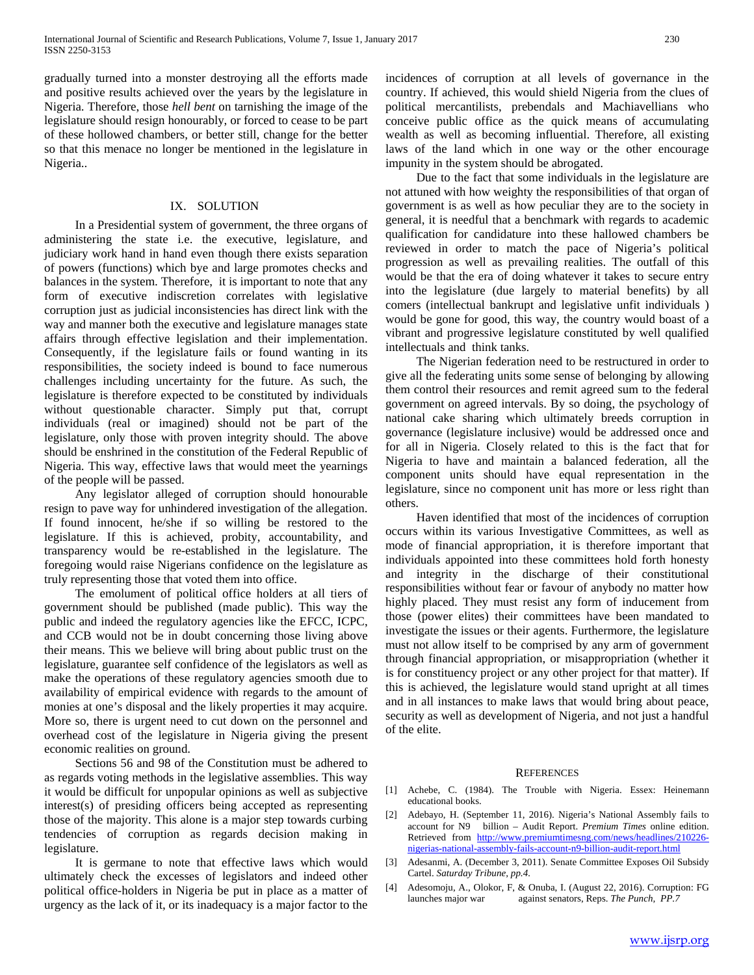gradually turned into a monster destroying all the efforts made and positive results achieved over the years by the legislature in Nigeria. Therefore, those *hell bent* on tarnishing the image of the legislature should resign honourably, or forced to cease to be part of these hollowed chambers, or better still, change for the better so that this menace no longer be mentioned in the legislature in Nigeria..

#### IX. SOLUTION

 In a Presidential system of government, the three organs of administering the state i.e. the executive, legislature, and judiciary work hand in hand even though there exists separation of powers (functions) which bye and large promotes checks and balances in the system. Therefore, it is important to note that any form of executive indiscretion correlates with legislative corruption just as judicial inconsistencies has direct link with the way and manner both the executive and legislature manages state affairs through effective legislation and their implementation. Consequently, if the legislature fails or found wanting in its responsibilities, the society indeed is bound to face numerous challenges including uncertainty for the future. As such, the legislature is therefore expected to be constituted by individuals without questionable character. Simply put that, corrupt individuals (real or imagined) should not be part of the legislature, only those with proven integrity should. The above should be enshrined in the constitution of the Federal Republic of Nigeria. This way, effective laws that would meet the yearnings of the people will be passed.

 Any legislator alleged of corruption should honourable resign to pave way for unhindered investigation of the allegation. If found innocent, he/she if so willing be restored to the legislature. If this is achieved, probity, accountability, and transparency would be re-established in the legislature. The foregoing would raise Nigerians confidence on the legislature as truly representing those that voted them into office.

 The emolument of political office holders at all tiers of government should be published (made public). This way the public and indeed the regulatory agencies like the EFCC, ICPC, and CCB would not be in doubt concerning those living above their means. This we believe will bring about public trust on the legislature, guarantee self confidence of the legislators as well as make the operations of these regulatory agencies smooth due to availability of empirical evidence with regards to the amount of monies at one's disposal and the likely properties it may acquire. More so, there is urgent need to cut down on the personnel and overhead cost of the legislature in Nigeria giving the present economic realities on ground.

 Sections 56 and 98 of the Constitution must be adhered to as regards voting methods in the legislative assemblies. This way it would be difficult for unpopular opinions as well as subjective interest(s) of presiding officers being accepted as representing those of the majority. This alone is a major step towards curbing tendencies of corruption as regards decision making in legislature.

 It is germane to note that effective laws which would ultimately check the excesses of legislators and indeed other political office-holders in Nigeria be put in place as a matter of urgency as the lack of it, or its inadequacy is a major factor to the incidences of corruption at all levels of governance in the country. If achieved, this would shield Nigeria from the clues of political mercantilists, prebendals and Machiavellians who conceive public office as the quick means of accumulating wealth as well as becoming influential. Therefore, all existing laws of the land which in one way or the other encourage impunity in the system should be abrogated.

 Due to the fact that some individuals in the legislature are not attuned with how weighty the responsibilities of that organ of government is as well as how peculiar they are to the society in general, it is needful that a benchmark with regards to academic qualification for candidature into these hallowed chambers be reviewed in order to match the pace of Nigeria's political progression as well as prevailing realities. The outfall of this would be that the era of doing whatever it takes to secure entry into the legislature (due largely to material benefits) by all comers (intellectual bankrupt and legislative unfit individuals ) would be gone for good, this way, the country would boast of a vibrant and progressive legislature constituted by well qualified intellectuals and think tanks.

 The Nigerian federation need to be restructured in order to give all the federating units some sense of belonging by allowing them control their resources and remit agreed sum to the federal government on agreed intervals. By so doing, the psychology of national cake sharing which ultimately breeds corruption in governance (legislature inclusive) would be addressed once and for all in Nigeria. Closely related to this is the fact that for Nigeria to have and maintain a balanced federation, all the component units should have equal representation in the legislature, since no component unit has more or less right than others.

 Haven identified that most of the incidences of corruption occurs within its various Investigative Committees, as well as mode of financial appropriation, it is therefore important that individuals appointed into these committees hold forth honesty and integrity in the discharge of their constitutional responsibilities without fear or favour of anybody no matter how highly placed. They must resist any form of inducement from those (power elites) their committees have been mandated to investigate the issues or their agents. Furthermore, the legislature must not allow itself to be comprised by any arm of government through financial appropriation, or misappropriation (whether it is for constituency project or any other project for that matter). If this is achieved, the legislature would stand upright at all times and in all instances to make laws that would bring about peace, security as well as development of Nigeria, and not just a handful of the elite.

#### **REFERENCES**

- [1] Achebe, C. (1984). The Trouble with Nigeria. Essex: Heinemann educational books.
- [2] [Adebayo,](http://www.premiumtimesng.com/author/adebayo) H. [\(September 11, 2016\)](http://www.premiumtimesng.com/news/headlines/210226-nigerias-national-assembly-fails-account-n9-billion-audit-report.html). Nigeria's National Assembly fails to account for N9 billion – Audit Report. *Premium Times* online edition. Retrieved from [http://www.premiumtimesng.com/news/headlines/210226](http://www.premiumtimesng.com/news/headlines/210226-nigerias-national-assembly-fails-account-n9-billion-audit-report.html) [nigerias-national-assembly-fails-account-n9-billion-audit-report.html](http://www.premiumtimesng.com/news/headlines/210226-nigerias-national-assembly-fails-account-n9-billion-audit-report.html)
- [3] Adesanmi, A. (December 3, 2011). Senate Committee Exposes Oil Subsidy Cartel. *Saturday Tribune, pp.4.*
- [4] Adesomoju, A., Olokor, F, & Onuba, I. (August 22, 2016). Corruption: FG launches major war against senators, Reps. *The Punch, PP.7*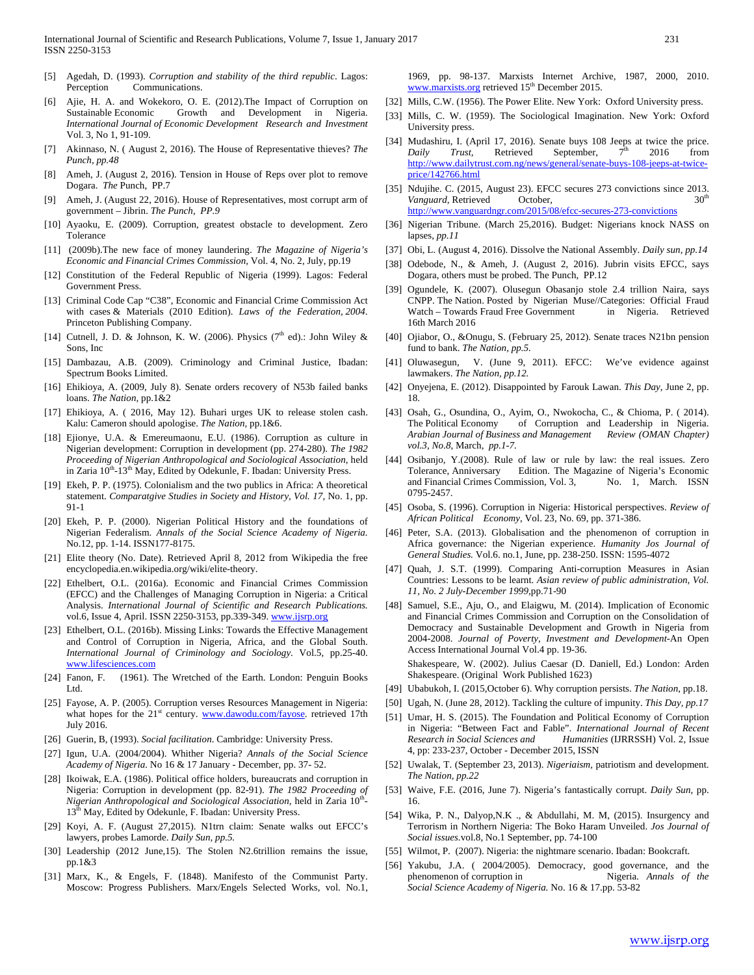- [5] Agedah, D. (1993). *Corruption and stability of the third republic*. Lagos: Perception Communications.
- [6] Ajie, H. A. and Wokekoro, O. E. (2012).The Impact of Corruption on Sustainable Economic Growth and Development in Nigeria. *International Journal of Economic Development Research and Investment* Vol. 3, No 1, 91-109.
- [7] Akinnaso, N. ( August 2, 2016). The House of Representative thieves? *The Punch, pp.48*
- [8] Ameh, J. (August 2, 2016). Tension in House of Reps over plot to remove Dogara. *The* Punch, PP.7
- [9] Ameh, J. (August 22, 2016). House of Representatives, most corrupt arm of government – Jibrin. *The Punch, PP.9*
- [10] Ayaoku, E. (2009). Corruption, greatest obstacle to development. Zero Tolerance
- [11] (2009b).The new face of money laundering. *The Magazine of Nigeria's Economic and Financial Crimes Commission,* Vol. 4, No. 2, July, pp.19
- [12] Constitution of the Federal Republic of Nigeria (1999). Lagos: Federal Government Press.
- [13] Criminal Code Cap "C38", Economic and Financial Crime Commission Act with cases & Materials (2010 Edition). *Laws of the Federation, 2004*. Princeton Publishing Company.
- [14] Cutnell, J. D. & Johnson, K. W. (2006). Physics ( $7<sup>th</sup>$  ed).: John Wiley & Sons, Inc
- [15] Dambazau, A.B. (2009). Criminology and Criminal Justice, Ibadan: Spectrum Books Limited.
- [16] Ehikioya, A. (2009, July 8). Senate orders recovery of N53b failed banks loans. *The Nation,* pp.1&2
- [17] Ehikioya, A. ( 2016, May 12). Buhari urges UK to release stolen cash. Kalu: Cameron should apologise. *The Nation,* pp.1&6.
- [18] Ejionye, U.A. & Emereumaonu, E.U. (1986). Corruption as culture in Nigerian development: Corruption in development (pp. 274-280). *The 1982 Proceeding of Nigerian Anthropological and Sociological Association,* held in Zaria  $10^{th}$ -13<sup>th</sup> May, Edited by Odekunle, F. Ibadan: University Press.
- [19] Ekeh, P. P. (1975). Colonialism and the two publics in Africa: A theoretical statement. *Comparatgive Studies in Society and History, Vol. 17,* No. 1, pp. 91-1
- [20] Ekeh, P. P. (2000). Nigerian Political History and the foundations of Nigerian Federalism. *Annals of the Social Science Academy of Nigeria.* No.12, pp. 1-14. ISSN177-8175.
- [21] Elite theory (No. Date). Retrieved April 8, 2012 from Wikipedia the free encyclopedia.en.wikipedia.org/wiki/elite-theory.
- [22] Ethelbert, O.L. (2016a). Economic and Financial Crimes Commission (EFCC) and the Challenges of Managing Corruption in Nigeria: a Critical Analysis. *International Journal of Scientific and Research Publications.* vol.6, Issue 4, April. ISSN 2250-3153, pp.339-349[. www.ijsrp.org](http://www.ijsrp.org/)
- [23] Ethelbert, O.L. (2016b). Missing Links: Towards the Effective Management and Control of Corruption in Nigeria, Africa, and the Global South. *International Journal of Criminology and Sociology.* Vol.5, pp.25-40. [www.lifesciences.com](http://www.lifesciences.com/)
- [24] Fanon, F. (1961). The Wretched of the Earth. London: Penguin Books Ltd.
- [25] Fayose, A. P. (2005). Corruption verses Resources Management in Nigeria: what hopes for the  $21<sup>st</sup>$  century. [www.dawodu.com/fayose.](http://www.dawodu.com/fayose) retrieved 17th July 2016.
- [26] Guerin, B, (1993). *Social facilitation*. Cambridge: University Press.
- [27] Igun, U.A. (2004/2004). Whither Nigeria? *Annals of the Social Science Academy of Nigeria.* No 16 & 17 January - December, pp. 37- 52.
- [28] Ikoiwak, E.A. (1986). Political office holders, bureaucrats and corruption in Nigeria: Corruption in development (pp. 82-91). *The 1982 Proceeding of Nigerian Anthropological and Sociological Association, held in Zaria 10<sup>th</sup>-*13<sup>th</sup> May, Edited by Odekunle, F. Ibadan: University Press.
- [29] Koyi, A. F. (August 27,2015). N1trn claim: Senate walks out EFCC's lawyers, probes Lamorde. *Daily Sun, pp.5.*
- [30] Leadership (2012 June, 15). The Stolen N2.6trillion remains the issue, pp.1&3
- [31] Marx, K., & Engels, F. (1848). Manifesto of the Communist Party. Moscow: Progress Publishers. Marx/Engels Selected Works, vol. No.1,

1969, pp. 98-137. Marxists Internet Archive, 1987, 2000, 2010. [www.marxists.org](http://www.marxists.org/) retrieved  $15<sup>th</sup>$  December 2015.

- [32] Mills, C.W. (1956). The Power Elite. New York: Oxford University press.
- [33] Mills, C. W. (1959). The Sociological Imagination. New York: Oxford University press.
- [34] Mudashiru, I. (April 17, 2016). Senate buys 108 Jeeps at twice the price. *Daily Trust*, Retrieved September, 7<sup>th</sup> 2016 from [http://www.dailytrust.com.ng/news/general/senate-buys-108-jeeps-at-twice](http://www.dailytrust.com.ng/news/general/senate-buys-108-jeeps-at-twice-price/142766.html)[price/142766.html](http://www.dailytrust.com.ng/news/general/senate-buys-108-jeeps-at-twice-price/142766.html)
- [35] Ndujihe. C. (2015, August 23). EFCC secures 273 convictions since 2013. *Vanguard,* Retrieved October, 30<sup>t</sup> <http://www.vanguardngr.com/2015/08/efcc-secures-273-convictions>
- [36] Nigerian Tribune. (March 25,2016). Budget: Nigerians knock NASS on lapses, *pp.11*
- [37] Obi, L. (August 4, 2016). Dissolve the National Assembly. *Daily sun*, *pp.14*
- [38] Odebode, N., & Ameh, J. (August 2, 2016). Jubrin visits EFCC, says Dogara, others must be probed. The Punch, PP.12
- [39] Ogundele, K. (2007). Olusegun Obasanjo stole 2.4 trillion Naira, says CNPP. The Nation. Posted by Nigerian Muse//Categories: Official Fraud Watch – Towards Fraud Free Government in Nigeria. Retrieved 16th March 2016
- [40] Ojiabor, O., &Onugu, S. (February 25, 2012). Senate traces N21bn pension fund to bank. *The Nation, pp.5.*
- [41] Oluwasegun, V. (June 9, 2011). EFCC: We've evidence against lawmakers. *The Nation, pp.12.*
- [42] Onyejena, E. (2012). Disappointed by Farouk Lawan. *This Day*, June 2, pp. 18.
- [43] Osah, G., Osundina, O., Ayim, O., Nwokocha, C., & Chioma, P. ( 2014). The Political Economy of Corruption and Leadership in Nigeria. *Arabian Journal of Business and Management Review (OMAN Chapter) vol.3, No.8,* March, *pp.1-7.*
- [44] Osibanjo, Y.(2008). Rule of law or rule by law: the real issues. Zero Tolerance, Anniversary Edition. The Magazine of Nigeria's Economic and Financial Crimes Commission, Vol. 3, No. 1, March. ISSN 0795-2457.
- [45] Osoba, S. (1996). Corruption in Nigeria: Historical perspectives. *Review of African Political Economy*, Vol. 23, No. 69, pp. 371-386.
- [46] Peter, S.A. (2013). Globalisation and the phenomenon of corruption in Africa governance: the Nigerian experience. *Humanity Jos Journal of General Studies.* Vol.6. no.1, June, pp. 238-250. ISSN: 1595-4072
- [47] Quah, J. S.T. (1999). Comparing Anti-corruption Measures in Asian Countries: Lessons to be learnt. *Asian review of public administration, Vol. 11, No. 2 July-December 1999,*pp.71-90
- [48] Samuel, S.E., Aju, O., and Elaigwu, M. (2014). Implication of Economic and Financial Crimes Commission and Corruption on the Consolidation of Democracy and Sustainable Development and Growth in Nigeria from 2004-2008. *Journal of Poverty, Investment and Development*-An Open Access International Journal Vol.4 pp. 19-36.

Shakespeare, W. (2002). Julius Caesar (D. Daniell, Ed.) London: Arden Shakespeare. (Original Work Published 1623)

- [49] Ubabukoh, I. (2015,October 6). Why corruption persists. *The Nation*, pp.18.
- [50] Ugah, N. (June 28, 2012). Tackling the culture of impunity. *This Day, pp.17*
- [51] Umar, H. S. (2015). The Foundation and Political Economy of Corruption in Nigeria: "Between Fact and Fable". *International Journal of Recent Research in Social Sciences and Humanities* (IJRRSSH) Vol. 2, Issue 4, pp: 233-237, October - December 2015, ISSN
- [52] Uwalak, T. (September 23, 2013). *Nigeriaism,* patriotism and development. *The Nation, pp.22*
- [53] Waive, F.E. (2016, June 7). Nigeria's fantastically corrupt. *Daily Sun,* pp. 16.
- [54] Wika, P. N., Dalyop,N.K ., & Abdullahi, M. M, (2015). Insurgency and Terrorism in Northern Nigeria: The Boko Haram Unveiled. *Jos Journal of Social issues.*vol.8, No.1 September, pp. 74-100
- [55] Wilmot, P. (2007). Nigeria: the nightmare scenario. Ibadan: Bookcraft.
- [56] Yakubu, J.A. ( 2004/2005). Democracy, good governance, and the phenomenon of corruption in Nigeria. *Annals of the Social Science Academy of Nigeria.* No. 16 & 17.pp. 53-82